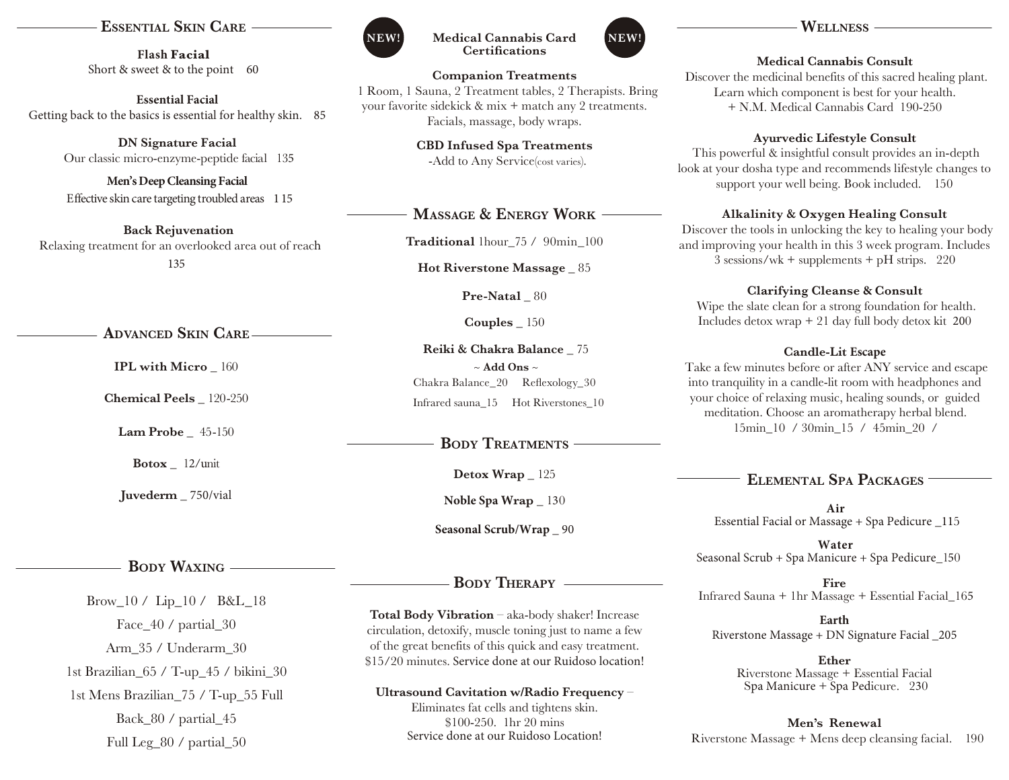## **EssEntial skin CarE**

**Flash Facial** Short & sweet & to the point 60

**Essential Facial**  Getting back to the basics is essential for healthy skin. 85

> **DN Signature Facial** Our classic micro-enzyme-peptide facial 135

> **Men's Deep Cleansing Facial**  Effective skin care targeting troubled areas 1 15

**Back Rejuvenation** Relaxing treatment for an overlooked area out of reach 135

**advanCEd skin CarE**

**IPL with Micro** \_ 160

**Chemical Peels** \_ 120-250

**Lam Probe** \_ 45-150

**Botox** \_ 12/unit

**Juvederm** \_ 750/vial

# **Body Waxing**

Brow\_10 / Lip\_10 / B&L\_18 Face  $40 /$  partial 30 Arm\_35 / Underarm\_30 1st Brazilian\_65 / T-up\_45 / bikini\_30 1st Mens Brazilian\_75 / T-up\_55 Full Back 80 / partial 45 Full Leg\_80 / partial\_50



#### **Medical Cannabis Card NEW! NEW!Certifications**

**Companion Treatments** 1 Room, 1 Sauna, 2 Treatment tables, 2 Therapists. Bring your favorite sidekick & mix + match any 2 treatments. Facials, massage, body wraps.

**CBD Infused Spa Treatments**

-Add to Any Service(cost varies).

# **MassagE & EnErgy Work**

**Traditional** 1hour\_75 / 90min\_100

**Hot Riverstone Massage** \_ 85

Pre-Natal  $80$ 

**Couples** \_ 150

**Reiki & Chakra Balance** \_ 75 ~ **Add Ons** ~ Chakra Balance\_20 Reflexology\_30 Infrared sauna\_15 Hot Riverstones\_10

# **BODY TREATMENTS**

**Detox Wrap** \_ 125

**Noble Spa Wrap** \_ 130

**Seasonal Scrub/Wrap** \_ 90

# **Body thErapy**

**Total Body Vibration** – aka-body shaker! Increase circulation, detoxify, muscle toning just to name a few of the great benefits of this quick and easy treatment. \$15/20 minutes. Service done at our Ruidoso location!

**Ultrasound Cavitation w/Radio Frequency** – Eliminates fat cells and tightens skin. \$100-250. 1hr 20 mins Service done at our Ruidoso Location!

#### **WEllnEss**

#### **Medical Cannabis Consult**

 Discover the medicinal benefits of this sacred healing plant. Learn which component is best for your health. + N.M. Medical Cannabis Card 190-250

#### **Ayurvedic Lifestyle Consult**

 This powerful & insightful consult provides an in-depth look at your dosha type and recommends lifestyle changes to support your well being. Book included. 150

#### **Alkalinity & Oxygen Healing Consult**

 Discover the tools in unlocking the key to healing your body and improving your health in this 3 week program. Includes  $3$  sessions/wk + supplements + pH strips. 220

#### **Clarifying Cleanse & Consult**

 Wipe the slate clean for a strong foundation for health. Includes detox wrap + 21 day full body detox kit 200

#### **Candle-Lit Escape**

 Take a few minutes before or after ANY service and escape into tranquility in a candle-lit room with headphones and your choice of relaxing music, healing sounds, or guided meditation. Choose an aromatherapy herbal blend. 15min\_10 / 30min\_15 / 45min\_20 /

# **ElEMEntal spa paCkagEs**

**Air** Essential Facial or Massage + Spa Pedicure \_115

 **Water** Seasonal Scrub + Spa Manicure + Spa Pedicure\_150

**Fire** Infrared Sauna + 1hr Massage + Essential Facial\_165

**Earth** Riverstone Massage + DN Signature Facial \_205

> **Ether** Riverstone Massage + Essential Facial Spa Manicure + Spa Pedicure. 230

**Men's Renewal**  Riverstone Massage + Mens deep cleansing facial. 190